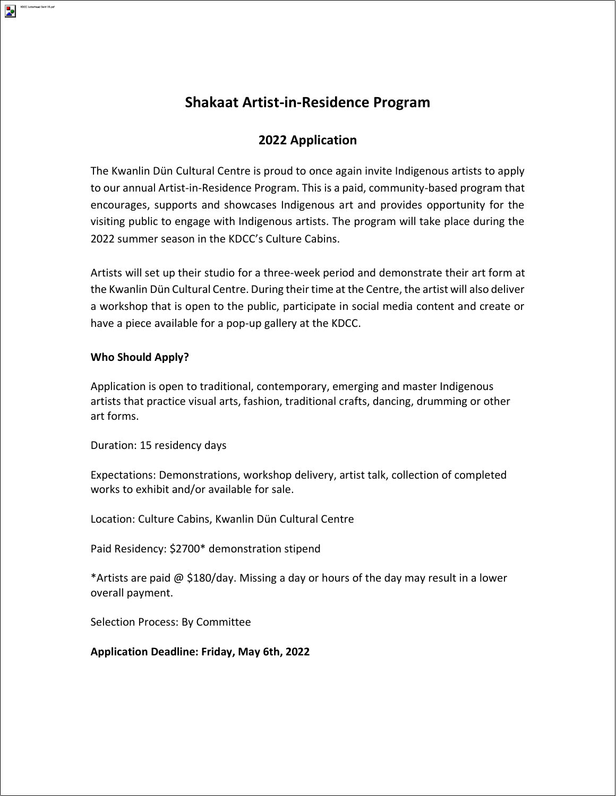# **Shakaat Artist-in-Residence Program**

## **2022 Application**

The Kwanlin Dün Cultural Centre is proud to once again invite Indigenous artists to apply to our annual Artist-in-Residence Program. This is a paid, community-based program that encourages, supports and showcases Indigenous art and provides opportunity for the visiting public to engage with Indigenous artists. The program will take place during the 2022 summer season in the KDCC's Culture Cabins.

Artists will set up their studio for a three-week period and demonstrate their art form at the Kwanlin Dün Cultural Centre. During their time at the Centre, the artist will also deliver a workshop that is open to the public, participate in social media content and create or have a piece available for a pop-up gallery at the KDCC.

## **Who Should Apply?**

**DCC Letterhead Swirl 19.pdf** 

Z.

Application is open to traditional, contemporary, emerging and master Indigenous artists that practice visual arts, fashion, traditional crafts, dancing, drumming or other art forms.

Duration: 15 residency days

Expectations: Demonstrations, workshop delivery, artist talk, collection of completed works to exhibit and/or available for sale.

Location: Culture Cabins, Kwanlin Dün Cultural Centre

Paid Residency: \$2700\* demonstration stipend

\*Artists are paid @ \$180/day. Missing a day or hours of the day may result in a lower overall payment.

Selection Process: By Committee

**Application Deadline: Friday, May 6th, 2022**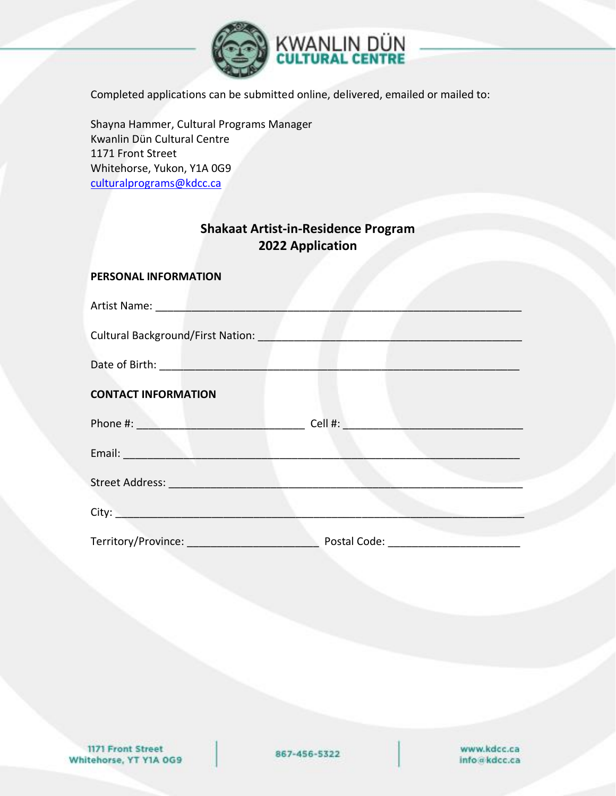

Completed applications can be submitted online, delivered, emailed or mailed to:

Shayna Hammer, Cultural Programs Manager Kwanlin Dün Cultural Centre 1171 Front Street Whitehorse, Yukon, Y1A 0G9 culturalprograms@kdcc.ca

## **Shakaat Artist-in-Residence Program 2022 Application**

| PERSONAL INFORMATION                  |                        |  |
|---------------------------------------|------------------------|--|
|                                       |                        |  |
| Cultural Background/First Nation: ___ |                        |  |
|                                       |                        |  |
| <b>CONTACT INFORMATION</b>            |                        |  |
| Phone #: <u>Alexander Advisory</u>    | Cell #:                |  |
| Email: <u>______________</u>          |                        |  |
| Street Address: ___________________   |                        |  |
| City: City:                           |                        |  |
| Territory/Province: ___________       | Postal Code: _________ |  |

867-456-5322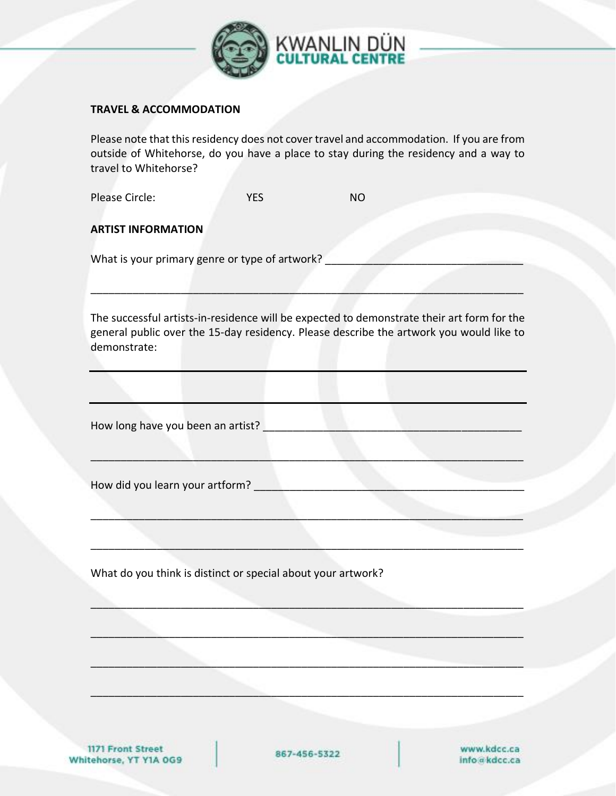

#### **TRAVEL & ACCOMMODATION**

Please note that this residency does not cover travel and accommodation. If you are from outside of Whitehorse, do you have a place to stay during the residency and a way to travel to Whitehorse?

Please Circle: The MC YES NO

## **ARTIST INFORMATION**

What is your primary genre or type of artwork?

The successful artists-in-residence will be expected to demonstrate their art form for the general public over the 15-day residency. Please describe the artwork you would like to demonstrate:

\_\_\_\_\_\_\_\_\_\_\_\_\_\_\_\_\_\_\_\_\_\_\_\_\_\_\_\_\_\_\_\_\_\_\_\_\_\_\_\_\_\_\_\_\_\_\_\_\_\_\_\_\_\_\_\_\_\_\_\_\_\_\_\_\_\_\_\_\_\_\_\_

\_\_\_\_\_\_\_\_\_\_\_\_\_\_\_\_\_\_\_\_\_\_\_\_\_\_\_\_\_\_\_\_\_\_\_\_\_\_\_\_\_\_\_\_\_\_\_\_\_\_\_\_\_\_\_\_\_\_\_\_\_\_\_\_\_\_\_\_\_\_\_\_

\_\_\_\_\_\_\_\_\_\_\_\_\_\_\_\_\_\_\_\_\_\_\_\_\_\_\_\_\_\_\_\_\_\_\_\_\_\_\_\_\_\_\_\_\_\_\_\_\_\_\_\_\_\_\_\_\_\_\_\_\_\_\_\_\_\_\_\_\_\_\_\_

 $\mathcal{L}_\mathcal{L}$  , and the contribution of the contribution of the contribution of the contribution of the contribution of the contribution of the contribution of the contribution of the contribution of the contribution of

 $\mathcal{L} = \{ \mathcal{L} \mid \mathcal{L} \in \mathcal{L} \}$  , where  $\mathcal{L} = \{ \mathcal{L} \mid \mathcal{L} \in \mathcal{L} \}$  , where  $\mathcal{L} = \{ \mathcal{L} \mid \mathcal{L} \in \mathcal{L} \}$ 

 $\mathcal{L} = \{ \mathcal{L} \mid \mathcal{L} \in \mathcal{L} \}$  , where  $\mathcal{L} = \{ \mathcal{L} \mid \mathcal{L} \in \mathcal{L} \}$  , where  $\mathcal{L} = \{ \mathcal{L} \mid \mathcal{L} \in \mathcal{L} \}$ 

\_\_\_\_\_\_\_\_\_\_\_\_\_\_\_\_\_\_\_\_\_\_\_\_\_\_\_\_\_\_\_\_\_\_\_\_\_\_\_\_\_\_\_\_\_\_\_\_\_\_\_\_\_\_\_\_\_\_\_\_\_\_\_\_\_\_\_\_\_\_\_\_

\_\_\_\_\_\_\_\_\_\_\_\_\_\_\_\_\_\_\_\_\_\_\_\_\_\_\_\_\_\_\_\_\_\_\_\_\_\_\_\_\_\_\_\_\_\_\_\_\_\_\_\_\_\_\_\_\_\_\_\_\_\_\_\_\_\_\_\_\_\_\_\_

How long have you been an artist?

How did you learn your artform? \_\_\_\_\_\_\_\_\_\_\_\_\_\_\_\_\_\_\_\_\_\_\_\_\_\_\_\_\_\_\_\_\_\_\_\_\_\_\_\_\_\_\_\_\_

What do you think is distinct or special about your artwork?

1171 Front Street Whitehorse, YT Y1A 0G9

867-456-5322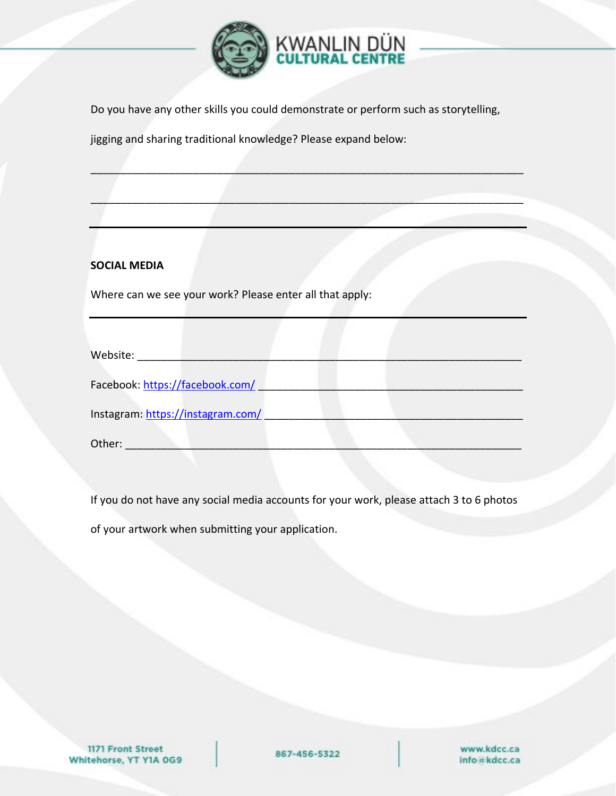

Do you have any other skills you could demonstrate or perform such as storytelling,

\_\_\_\_\_\_\_\_\_\_\_\_\_\_\_\_\_\_\_\_\_\_\_\_\_\_\_\_\_\_\_\_\_\_\_\_\_\_\_\_\_\_\_\_\_\_\_\_\_\_\_\_\_\_\_\_\_\_\_\_\_\_\_\_\_\_\_\_\_\_\_\_

 $\mathcal{L}_\text{max}$  , and the contract of the contract of the contract of the contract of the contract of the contract of the contract of the contract of the contract of the contract of the contract of the contract of the contr

jigging and sharing traditional knowledge? Please expand below:

## **SOCIAL MEDIA**

Where can we see your work? Please enter all that apply:

Website: **with a set of the set of the set of the set of the set of the set of the set of the set of the set of the set of the set of the set of the set of the set of the set of the set of the set of the set of the set of** 

Facebook:<https://facebook.com/>

Instagram:<https://instagram.com/>

Other: \_\_\_\_\_\_\_\_\_\_\_\_\_\_\_\_\_\_\_\_\_\_\_\_\_\_\_\_\_\_\_\_\_\_\_\_\_\_\_\_\_\_\_\_\_\_\_\_\_\_\_\_\_\_\_\_\_\_\_\_\_\_\_\_\_\_

If you do not have any social media accounts for your work, please attach 3 to 6 photos

of your artwork when submitting your application.

1171 Front Street Whitehorse, YT Y1A 0G9

867-456-5322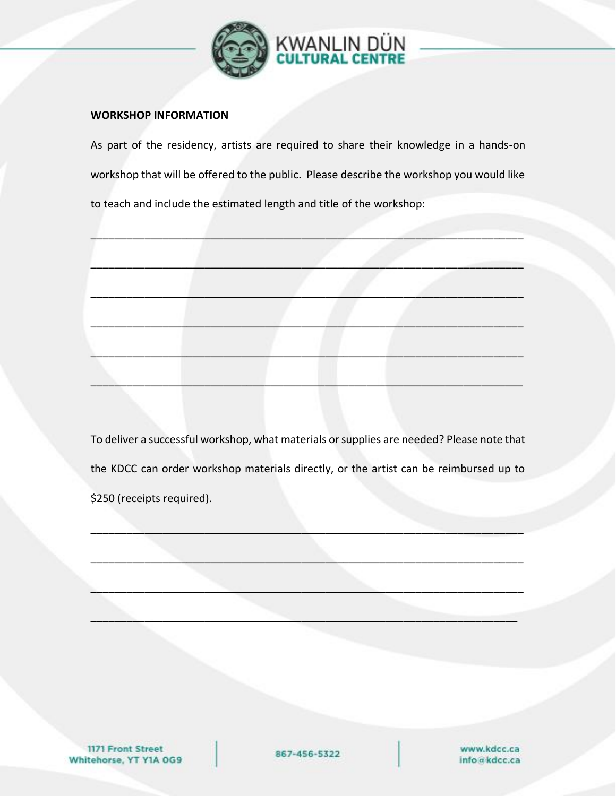

### **WORKSHOP INFORMATION**

As part of the residency, artists are required to share their knowledge in a hands-on workshop that will be offered to the public. Please describe the workshop you would like to teach and include the estimated length and title of the workshop:



To deliver a successful workshop, what materials or supplies are needed? Please note that the KDCC can order workshop materials directly, or the artist can be reimbursed up to \$250 (receipts required).

 $\mathcal{L}_\text{max}$  , and the set of the set of the set of the set of the set of the set of the set of the set of the set of the set of the set of the set of the set of the set of the set of the set of the set of the set of the

\_\_\_\_\_\_\_\_\_\_\_\_\_\_\_\_\_\_\_\_\_\_\_\_\_\_\_\_\_\_\_\_\_\_\_\_\_\_\_\_\_\_\_\_\_\_\_\_\_\_\_\_\_\_\_\_\_\_\_\_\_\_\_\_\_\_\_\_\_\_\_\_

\_\_\_\_\_\_\_\_\_\_\_\_\_\_\_\_\_\_\_\_\_\_\_\_\_\_\_\_\_\_\_\_\_\_\_\_\_\_\_\_\_\_\_\_\_\_\_\_\_\_\_\_\_\_\_\_\_\_\_\_\_\_\_\_\_\_\_\_\_\_\_\_

\_\_\_\_\_\_\_\_\_\_\_\_\_\_\_\_\_\_\_\_\_\_\_\_\_\_\_\_\_\_\_\_\_\_\_\_\_\_\_\_\_\_\_\_\_\_\_\_\_\_\_\_\_\_\_\_\_\_\_\_\_\_\_\_\_\_\_\_\_\_\_

1171 Front Street Whitehorse, YT Y1A OG9

867-456-5322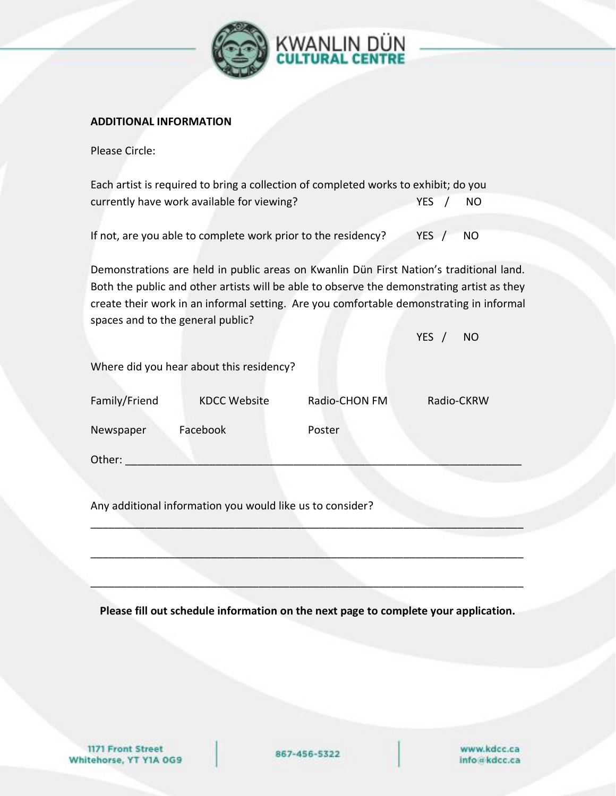

### **ADDITIONAL INFORMATION**

Please Circle:

Each artist is required to bring a collection of completed works to exhibit; do you currently have work available for viewing? VES / NO

If not, are you able to complete work prior to the residency? YES / NO

Demonstrations are held in public areas on Kwanlin Dün First Nation's traditional land. Both the public and other artists will be able to observe the demonstrating artist as they create their work in an informal setting. Are you comfortable demonstrating in informal spaces and to the general public?

YES / NO

Where did you hear about this residency?

| Family/Friend | <b>KDCC Website</b> | Radio-CHON FM | Radio-CKRW |
|---------------|---------------------|---------------|------------|
| Newspaper     | Facebook            | Poster        |            |
| Other:        |                     |               |            |

Any additional information you would like us to consider?

**Please fill out schedule information on the next page to complete your application.** 

 $\mathcal{L}_\mathcal{L} = \mathcal{L}_\mathcal{L}$  , where  $\mathcal{L}_\mathcal{L} = \mathcal{L}_\mathcal{L}$  , we have the set of the set of the set of the set of the set of the set of the set of the set of the set of the set of the set of the set of the set of the

\_\_\_\_\_\_\_\_\_\_\_\_\_\_\_\_\_\_\_\_\_\_\_\_\_\_\_\_\_\_\_\_\_\_\_\_\_\_\_\_\_\_\_\_\_\_\_\_\_\_\_\_\_\_\_\_\_\_\_\_\_\_\_\_\_\_\_\_\_\_\_\_

 $\frac{1}{2}$  , and the set of the set of the set of the set of the set of the set of the set of the set of the set of the set of the set of the set of the set of the set of the set of the set of the set of the set of the set

1171 Front Street Whitehorse, YT Y1A 0G9

867-456-5322